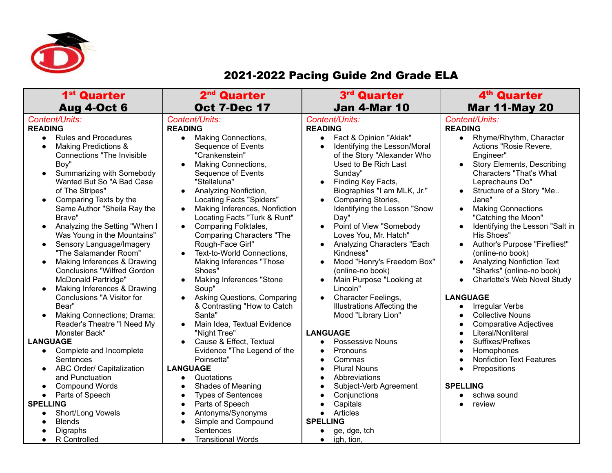

## 2021-2022 Pacing Guide 2nd Grade ELA

| 1 <sup>st</sup> Quarter                                                                                                                                                                                                                                                                                                                                                                                                                                                                                                                                                                                                                                                                                                                                                                                                                                                                                                                                                                                                                | 2 <sup>nd</sup> Quarter                                                                                                                                                                                                                                                                                                                                                                                                                                                                                                                                                                                                                                                                                                                                                                                                                                                                                                                                             | 3rd Quarter                                                                                                                                                                                                                                                                                                                                                                                                                                                                                                                                                                                                                                                                                                                                                                                              | 4 <sup>th</sup> Quarter                                                                                                                                                                                                                                                                                                                                                                                                                                                                                                                                                                                                                                                                                                                                                                                                                                                                                                                                                                 |
|----------------------------------------------------------------------------------------------------------------------------------------------------------------------------------------------------------------------------------------------------------------------------------------------------------------------------------------------------------------------------------------------------------------------------------------------------------------------------------------------------------------------------------------------------------------------------------------------------------------------------------------------------------------------------------------------------------------------------------------------------------------------------------------------------------------------------------------------------------------------------------------------------------------------------------------------------------------------------------------------------------------------------------------|---------------------------------------------------------------------------------------------------------------------------------------------------------------------------------------------------------------------------------------------------------------------------------------------------------------------------------------------------------------------------------------------------------------------------------------------------------------------------------------------------------------------------------------------------------------------------------------------------------------------------------------------------------------------------------------------------------------------------------------------------------------------------------------------------------------------------------------------------------------------------------------------------------------------------------------------------------------------|----------------------------------------------------------------------------------------------------------------------------------------------------------------------------------------------------------------------------------------------------------------------------------------------------------------------------------------------------------------------------------------------------------------------------------------------------------------------------------------------------------------------------------------------------------------------------------------------------------------------------------------------------------------------------------------------------------------------------------------------------------------------------------------------------------|-----------------------------------------------------------------------------------------------------------------------------------------------------------------------------------------------------------------------------------------------------------------------------------------------------------------------------------------------------------------------------------------------------------------------------------------------------------------------------------------------------------------------------------------------------------------------------------------------------------------------------------------------------------------------------------------------------------------------------------------------------------------------------------------------------------------------------------------------------------------------------------------------------------------------------------------------------------------------------------------|
|                                                                                                                                                                                                                                                                                                                                                                                                                                                                                                                                                                                                                                                                                                                                                                                                                                                                                                                                                                                                                                        |                                                                                                                                                                                                                                                                                                                                                                                                                                                                                                                                                                                                                                                                                                                                                                                                                                                                                                                                                                     |                                                                                                                                                                                                                                                                                                                                                                                                                                                                                                                                                                                                                                                                                                                                                                                                          |                                                                                                                                                                                                                                                                                                                                                                                                                                                                                                                                                                                                                                                                                                                                                                                                                                                                                                                                                                                         |
| <b>Aug 4-Oct 6</b><br>Content/Units:<br><b>READING</b><br><b>Rules and Procedures</b><br>$\bullet$<br><b>Making Predictions &amp;</b><br>$\bullet$<br><b>Connections "The Invisible</b><br>Boy"<br>Summarizing with Somebody<br>$\bullet$<br>Wanted But So "A Bad Case<br>of The Stripes"<br>Comparing Texts by the<br>Same Author "Sheila Ray the<br>Brave"<br>Analyzing the Setting "When I<br>$\bullet$<br>Was Young in the Mountains"<br>Sensory Language/Imagery<br>$\bullet$<br>"The Salamander Room"<br>Making Inferences & Drawing<br>$\bullet$<br><b>Conclusions "Wilfred Gordon</b><br><b>McDonald Partridge"</b><br>Making Inferences & Drawing<br>$\bullet$<br>Conclusions "A Visitor for<br>Bear"<br>Making Connections; Drama:<br>Reader's Theatre "I Need My<br>Monster Back"<br><b>LANGUAGE</b><br>Complete and Incomplete<br>$\bullet$<br>Sentences<br>ABC Order/ Capitalization<br>and Punctuation<br><b>Compound Words</b><br>Parts of Speech<br>$\bullet$<br><b>SPELLING</b><br>Short/Long Vowels<br><b>Blends</b> | <b>Oct 7-Dec 17</b><br>Content/Units:<br><b>READING</b><br><b>Making Connections,</b><br>$\bullet$<br><b>Sequence of Events</b><br>"Crankenstein"<br>Making Connections,<br>Sequence of Events<br>"Stellaluna"<br>Analyzing Nonfiction,<br>Locating Facts "Spiders"<br>Making Inferences, Nonfiction<br>Locating Facts "Turk & Runt"<br>Comparing Folktales,<br>$\bullet$<br><b>Comparing Characters "The</b><br>Rough-Face Girl"<br>Text-to-World Connections,<br>Making Inferences "Those<br>Shoes"<br><b>Making Inferences "Stone</b><br>Soup"<br>Asking Questions, Comparing<br>& Contrasting "How to Catch<br>Santa"<br>Main Idea, Textual Evidence<br>"Night Tree"<br>Cause & Effect, Textual<br>$\bullet$<br>Evidence "The Legend of the<br>Poinsetta"<br><b>LANGUAGE</b><br>Quotations<br>$\bullet$<br>Shades of Meaning<br>$\bullet$<br><b>Types of Sentences</b><br>$\bullet$<br>Parts of Speech<br>$\bullet$<br>Antonyms/Synonyms<br>Simple and Compound | <b>Jan 4-Mar 10</b><br>Content/Units:<br><b>READING</b><br>Fact & Opinion "Akiak"<br>Identifying the Lesson/Moral<br>of the Story "Alexander Who<br>Used to Be Rich Last<br>Sunday"<br>Finding Key Facts,<br>Biographies "I am MLK, Jr."<br><b>Comparing Stories,</b><br>Identifying the Lesson "Snow<br>Day"<br>Point of View "Somebody<br>$\bullet$<br>Loves You, Mr. Hatch"<br>Analyzing Characters "Each<br>Kindness"<br>Mood "Henry's Freedom Box"<br>(online-no book)<br>Main Purpose "Looking at<br>Lincoln"<br>Character Feelings,<br><b>Illustrations Affecting the</b><br>Mood "Library Lion"<br><b>LANGUAGE</b><br><b>Possessive Nouns</b><br>Pronouns<br>Commas<br><b>Plural Nouns</b><br>Abbreviations<br>Subject-Verb Agreement<br>Conjunctions<br>Capitals<br>Articles<br><b>SPELLING</b> | <b>Mar 11-May 20</b><br>Content/Units:<br><b>READING</b><br>Rhyme/Rhythm, Character<br>$\bullet$<br>Actions "Rosie Revere,<br>Engineer"<br><b>Story Elements, Describing</b><br>$\bullet$<br><b>Characters "That's What</b><br>Leprechauns Do"<br>Structure of a Story "Me<br>Jane"<br><b>Making Connections</b><br>$\bullet$<br>"Catching the Moon"<br>Identifying the Lesson "Salt in<br>$\bullet$<br>His Shoes"<br>Author's Purpose "Fireflies!"<br>$\bullet$<br>(online-no book)<br><b>Analyzing Nonfiction Text</b><br>$\bullet$<br>"Sharks" (online-no book)<br>Charlotte's Web Novel Study<br>$\bullet$<br><b>LANGUAGE</b><br><b>Irregular Verbs</b><br>$\bullet$<br><b>Collective Nouns</b><br>$\bullet$<br><b>Comparative Adjectives</b><br>$\bullet$<br>Literal/Nonliteral<br>$\bullet$<br>Suffixes/Prefixes<br>$\bullet$<br>Homophones<br>$\bullet$<br><b>Nonfiction Text Features</b><br>$\bullet$<br>Prepositions<br>$\bullet$<br><b>SPELLING</b><br>schwa sound<br>review |
| Digraphs                                                                                                                                                                                                                                                                                                                                                                                                                                                                                                                                                                                                                                                                                                                                                                                                                                                                                                                                                                                                                               | Sentences                                                                                                                                                                                                                                                                                                                                                                                                                                                                                                                                                                                                                                                                                                                                                                                                                                                                                                                                                           | ge, dge, tch                                                                                                                                                                                                                                                                                                                                                                                                                                                                                                                                                                                                                                                                                                                                                                                             |                                                                                                                                                                                                                                                                                                                                                                                                                                                                                                                                                                                                                                                                                                                                                                                                                                                                                                                                                                                         |
| R Controlled<br>$\bullet$                                                                                                                                                                                                                                                                                                                                                                                                                                                                                                                                                                                                                                                                                                                                                                                                                                                                                                                                                                                                              | <b>Transitional Words</b><br>$\bullet$                                                                                                                                                                                                                                                                                                                                                                                                                                                                                                                                                                                                                                                                                                                                                                                                                                                                                                                              | igh, tion,<br>$\bullet$                                                                                                                                                                                                                                                                                                                                                                                                                                                                                                                                                                                                                                                                                                                                                                                  |                                                                                                                                                                                                                                                                                                                                                                                                                                                                                                                                                                                                                                                                                                                                                                                                                                                                                                                                                                                         |